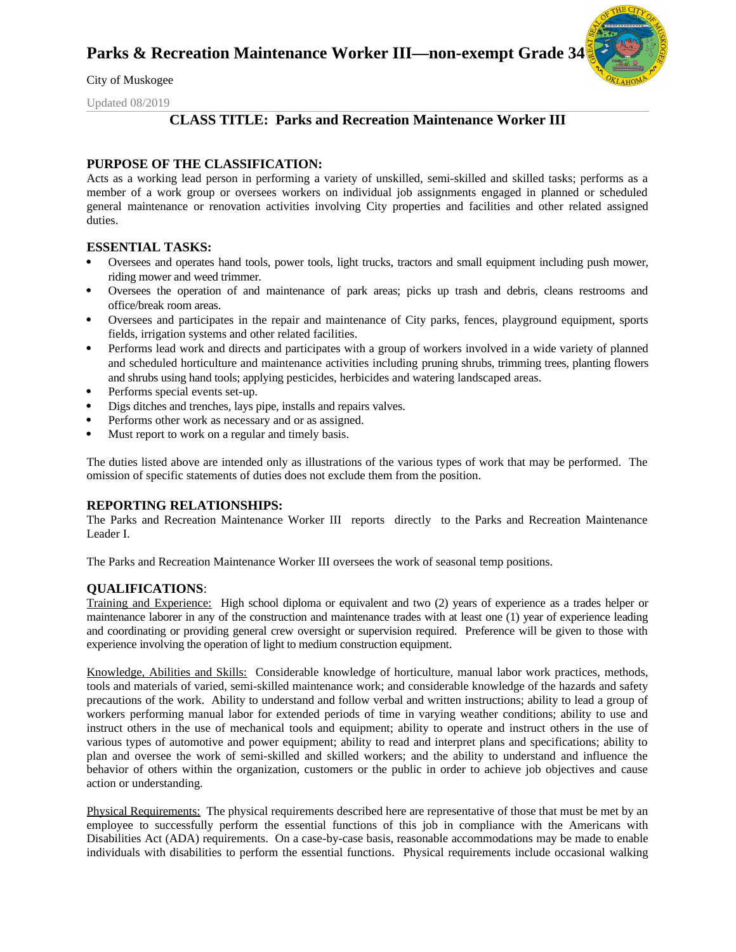

City of Muskogee

Updated 08/2019

## **CLASS TITLE: Parks and Recreation Maintenance Worker III**

### **PURPOSE OF THE CLASSIFICATION:**

Acts as a working lead person in performing a variety of unskilled, semi-skilled and skilled tasks; performs as a member of a work group or oversees workers on individual job assignments engaged in planned or scheduled general maintenance or renovation activities involving City properties and facilities and other related assigned duties.

### **ESSENTIAL TASKS:**

- Oversees and operates hand tools, power tools, light trucks, tractors and small equipment including push mower, riding mower and weed trimmer.
- Oversees the operation of and maintenance of park areas; picks up trash and debris, cleans restrooms and office/break room areas.
- Oversees and participates in the repair and maintenance of City parks, fences, playground equipment, sports fields, irrigation systems and other related facilities.
- Performs lead work and directs and participates with a group of workers involved in a wide variety of planned and scheduled horticulture and maintenance activities including pruning shrubs, trimming trees, planting flowers and shrubs using hand tools; applying pesticides, herbicides and watering landscaped areas.
- Performs special events set-up.
- Digs ditches and trenches, lays pipe, installs and repairs valves.
- Performs other work as necessary and or as assigned.
- Must report to work on a regular and timely basis.

The duties listed above are intended only as illustrations of the various types of work that may be performed. The omission of specific statements of duties does not exclude them from the position.

### **REPORTING RELATIONSHIPS:**

The Parks and Recreation Maintenance Worker III reports directly to the Parks and Recreation Maintenance Leader I.

The Parks and Recreation Maintenance Worker III oversees the work of seasonal temp positions.

### **QUALIFICATIONS**:

Training and Experience: High school diploma or equivalent and two (2) years of experience as a trades helper or maintenance laborer in any of the construction and maintenance trades with at least one (1) year of experience leading and coordinating or providing general crew oversight or supervision required. Preference will be given to those with experience involving the operation of light to medium construction equipment.

Knowledge, Abilities and Skills: Considerable knowledge of horticulture, manual labor work practices, methods, tools and materials of varied, semi-skilled maintenance work; and considerable knowledge of the hazards and safety precautions of the work. Ability to understand and follow verbal and written instructions; ability to lead a group of workers performing manual labor for extended periods of time in varying weather conditions; ability to use and instruct others in the use of mechanical tools and equipment; ability to operate and instruct others in the use of various types of automotive and power equipment; ability to read and interpret plans and specifications; ability to plan and oversee the work of semi-skilled and skilled workers; and the ability to understand and influence the behavior of others within the organization, customers or the public in order to achieve job objectives and cause action or understanding.

Physical Requirements: The physical requirements described here are representative of those that must be met by an employee to successfully perform the essential functions of this job in compliance with the Americans with Disabilities Act (ADA) requirements. On a case-by-case basis, reasonable accommodations may be made to enable individuals with disabilities to perform the essential functions. Physical requirements include occasional walking